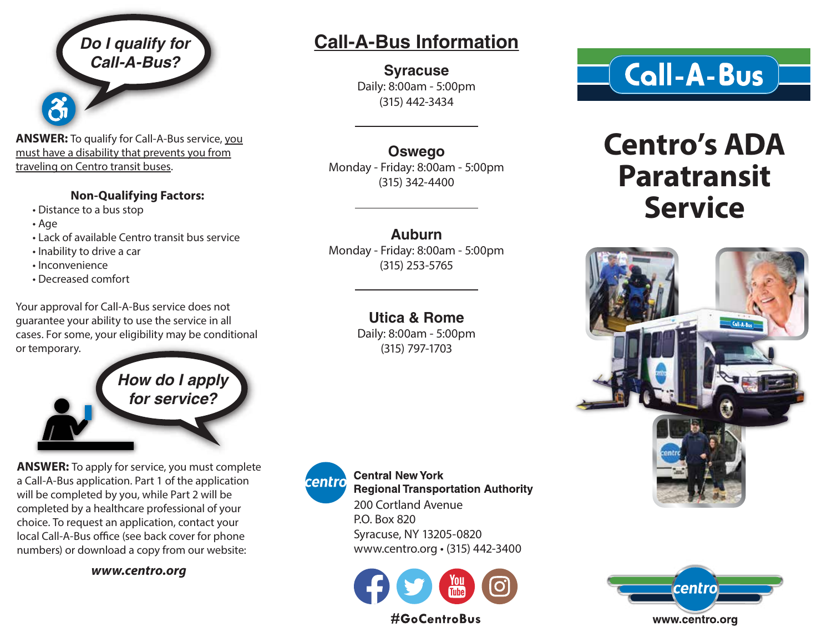*Do I qualify for Call-A-Bus?*

**ANSWER:** To qualify for Call-A-Bus service, you must have a disability that prevents you from traveling on Centro transit buses.

### **Non-Qualifying Factors:**

- Distance to a bus stop
- Age
- Lack of available Centro transit bus service
- Inability to drive a car
- Inconvenience
- Decreased comfort

Your approval for Call-A-Bus service does not guarantee your ability to use the service in all cases. For some, your eligibility may be conditional or temporary.

> *How do I apply for service?*

**ANSWER:** To apply for service, you must complete a Call-A-Bus application. Part 1 of the application will be completed by you, while Part 2 will be completed by a healthcare professional of your choice. To request an application, contact your local Call-A-Bus office (see back cover for phone numbers) or download a copy from our website:

*www.centro.org*

## **Call-A-Bus Information**

**Syracuse** Daily: 8:00am - 5:00pm (315) 442-3434

**Oswego** Monday - Friday: 8:00am - 5:00pm (315) 342-4400

**Auburn** Monday - Friday: 8:00am - 5:00pm (315) 253-5765

### **Utica & Rome**

Daily: 8:00am - 5:00pm (315) 797-1703



**Central New York Regional Transportation Authority** 200 Cortland Avenue P.O. Box 820 Syracuse, NY 13205-0820 www.centro.org • (315) 442-3400





# **Centro's ADA Paratransit Service**